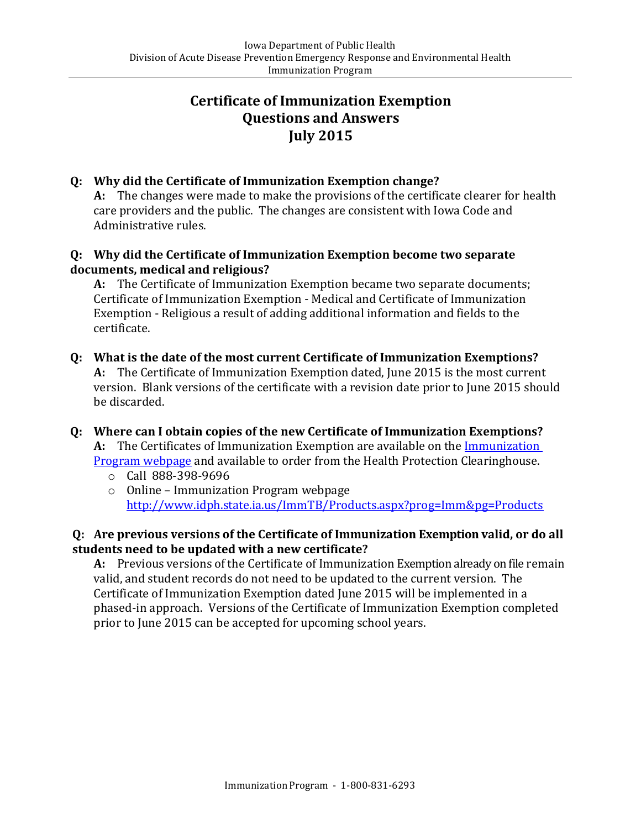# **Certificate of Immunization Exemption Questions and Answers July 2015**

## **Q: Why did the Certificate of Immunization Exemption change?**

**A:** The changes were made to make the provisions of the certificate clearer for health care providers and the public. The changes are consistent with Iowa Code and Administrative rules.

### **Q: Why did the Certificate of Immunization Exemption become two separate documents, medical and religious?**

**A:** The Certificate of Immunization Exemption became two separate documents; Certificate of Immunization Exemption - Medical and Certificate of Immunization Exemption - Religious a result of adding additional information and fields to the certificate.

**Q: What is the date of the most current Certificate of Immunization Exemptions? A:** The Certificate of Immunization Exemption dated, June 2015 is the most current version. Blank versions of the certificate with a revision date prior to June 2015 should be discarded.

# **Q: Where can I obtain copies of the new Certificate of Immunization Exemptions?** A: The Certificates of Immunization Exemption are available on the **Immunization** [Program webpage](http://www.idph.state.ia.us/ImmTB/Immunization.aspx?prog=Imm&pg=Laws) and available to order from the Health Protection Clearinghouse.

- o Call 888-398-9696
- o Online Immunization Program webpage <http://www.idph.state.ia.us/ImmTB/Products.aspx?prog=Imm&pg=Products>

### **Q: Are previous versions of the Certificate of Immunization Exemption valid, or do all students need to be updated with a new certificate?**

**A:** Previous versions of the Certificate of Immunization Exemption already on file remain valid, and student records do not need to be updated to the current version. The Certificate of Immunization Exemption dated June 2015 will be implemented in a phased-in approach. Versions of the Certificate of Immunization Exemption completed prior to June 2015 can be accepted for upcoming school years.